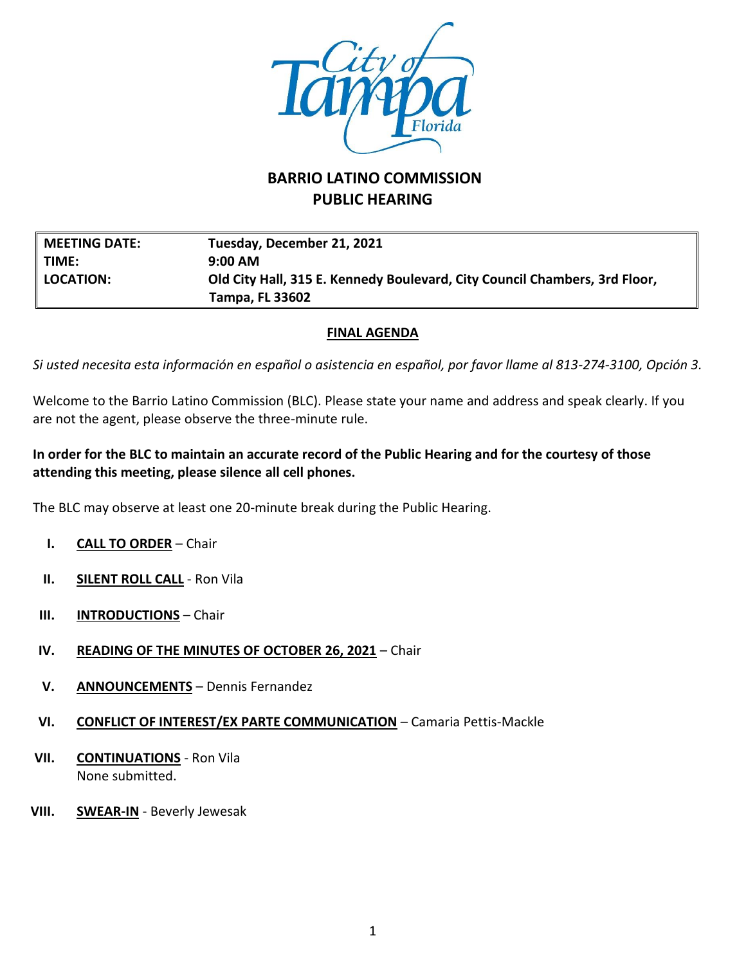

# **BARRIO LATINO COMMISSION PUBLIC HEARING**

| MEETING DATE:  | Tuesday, December 21, 2021                                                 |
|----------------|----------------------------------------------------------------------------|
| TIME:          | $9:00$ AM                                                                  |
| $\ $ location: | Old City Hall, 315 E. Kennedy Boulevard, City Council Chambers, 3rd Floor, |
|                | <b>Tampa, FL 33602</b>                                                     |

#### **FINAL AGENDA**

*Si usted necesita esta información en español o asistencia en español, por favor llame al 813-274-3100, Opción 3.*

Welcome to the Barrio Latino Commission (BLC). Please state your name and address and speak clearly. If you are not the agent, please observe the three-minute rule.

## **In order for the BLC to maintain an accurate record of the Public Hearing and for the courtesy of those attending this meeting, please silence all cell phones.**

The BLC may observe at least one 20-minute break during the Public Hearing.

- **I. CALL TO ORDER** Chair
- **II. SILENT ROLL CALL** Ron Vila
- **III. INTRODUCTIONS** Chair
- **IV. READING OF THE MINUTES OF OCTOBER 26, 2021** Chair
- **V. ANNOUNCEMENTS** Dennis Fernandez
- **VI. CONFLICT OF INTEREST/EX PARTE COMMUNICATION** Camaria Pettis-Mackle
- **VII. CONTINUATIONS** Ron Vila None submitted.
- **VIII. SWEAR-IN** Beverly Jewesak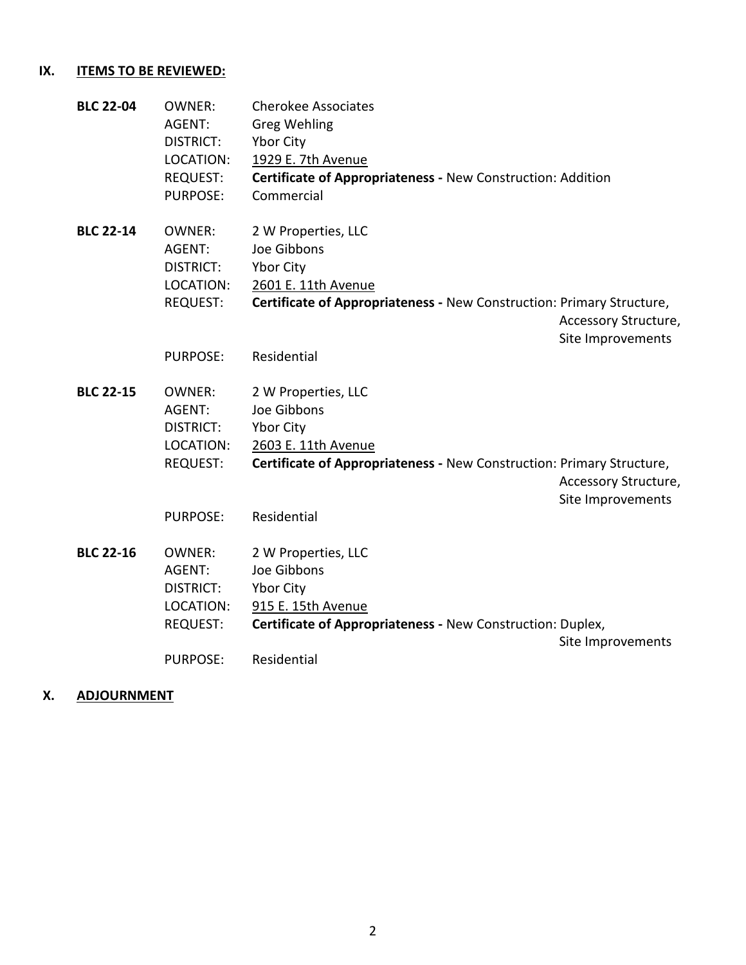## **IX. ITEMS TO BE REVIEWED:**

| <b>BLC 22-04</b> | <b>OWNER:</b>    | <b>Cherokee Associates</b>                                            |                      |
|------------------|------------------|-----------------------------------------------------------------------|----------------------|
|                  | AGENT:           | <b>Greg Wehling</b>                                                   |                      |
|                  | <b>DISTRICT:</b> | Ybor City                                                             |                      |
|                  | LOCATION:        | 1929 E. 7th Avenue                                                    |                      |
|                  | <b>REQUEST:</b>  | Certificate of Appropriateness - New Construction: Addition           |                      |
|                  | <b>PURPOSE:</b>  | Commercial                                                            |                      |
| <b>BLC 22-14</b> | <b>OWNER:</b>    | 2 W Properties, LLC                                                   |                      |
|                  | AGENT:           | Joe Gibbons                                                           |                      |
|                  | <b>DISTRICT:</b> | Ybor City                                                             |                      |
|                  | LOCATION:        | 2601 E. 11th Avenue                                                   |                      |
|                  | <b>REQUEST:</b>  | Certificate of Appropriateness - New Construction: Primary Structure, |                      |
|                  |                  |                                                                       | Accessory Structure, |
|                  |                  |                                                                       | Site Improvements    |
|                  | <b>PURPOSE:</b>  | Residential                                                           |                      |
| <b>BLC 22-15</b> | <b>OWNER:</b>    | 2 W Properties, LLC                                                   |                      |
|                  | AGENT:           | Joe Gibbons                                                           |                      |
|                  | <b>DISTRICT:</b> | Ybor City                                                             |                      |
|                  | LOCATION:        | 2603 E. 11th Avenue                                                   |                      |
|                  | <b>REQUEST:</b>  | Certificate of Appropriateness - New Construction: Primary Structure, |                      |
|                  |                  |                                                                       | Accessory Structure, |
|                  |                  |                                                                       | Site Improvements    |
|                  | <b>PURPOSE:</b>  | Residential                                                           |                      |
|                  |                  |                                                                       |                      |
| <b>BLC 22-16</b> | <b>OWNER:</b>    | 2 W Properties, LLC                                                   |                      |
|                  | AGENT:           | Joe Gibbons                                                           |                      |
|                  | <b>DISTRICT:</b> | Ybor City                                                             |                      |
|                  | LOCATION:        | 915 E. 15th Avenue                                                    |                      |
|                  | <b>REQUEST:</b>  | Certificate of Appropriateness - New Construction: Duplex,            |                      |
|                  |                  |                                                                       | Site Improvements    |
|                  | <b>PURPOSE:</b>  | Residential                                                           |                      |

### **X. ADJOURNMENT**